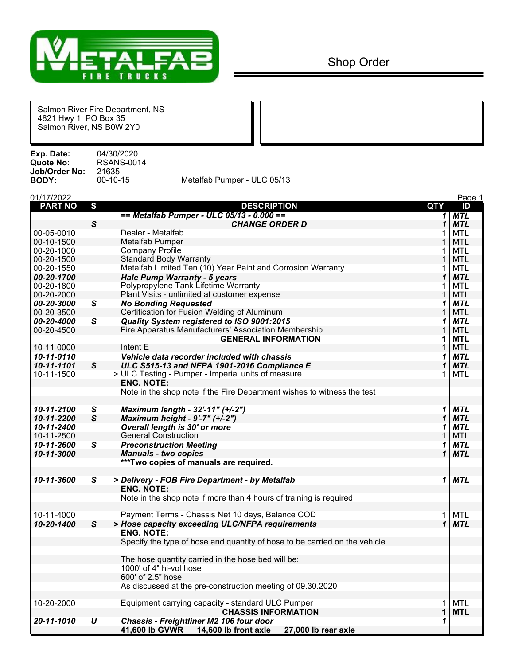

Salmon River Fire Department, NS 4821 Hwy 1, PO Box 35 Salmon River, NS B0W 2Y0

**Exp. Date:** 04/30/2020 **RSANS-0014**<br>21635 **Job/Order No:** 21635

Metalfab Pumper - ULC 05/13

| 01/17/2022     |              |                                                                               |             | Page 1     |
|----------------|--------------|-------------------------------------------------------------------------------|-------------|------------|
| <b>PART NO</b> | S            | <b>DESCRIPTION</b>                                                            | <b>QTY</b>  | ID         |
|                |              | == Metalfab Pumper - ULC 05/13 - 0.000 ==                                     | 1           | <b>MTL</b> |
|                | S            | <b>CHANGE ORDER D</b>                                                         | 1           | <b>MTL</b> |
| 00-05-0010     |              | Dealer - Metalfab                                                             |             | <b>MTL</b> |
| 00-10-1500     |              | <b>Metalfab Pumper</b>                                                        | 1           | <b>MTL</b> |
| 00-20-1000     |              | <b>Company Profile</b>                                                        |             | <b>MTL</b> |
| 00-20-1500     |              | <b>Standard Body Warranty</b>                                                 |             | <b>MTL</b> |
| 00-20-1550     |              | Metalfab Limited Ten (10) Year Paint and Corrosion Warranty                   |             | <b>MTL</b> |
| 00-20-1700     |              | <b>Hale Pump Warranty - 5 years</b>                                           | 1           | <b>MTL</b> |
| 00-20-1800     |              | Polypropylene Tank Lifetime Warranty                                          |             | <b>MTL</b> |
| 00-20-2000     |              | Plant Visits - unlimited at customer expense                                  |             | <b>MTL</b> |
| 00-20-3000     | S            | <b>No Bonding Requested</b>                                                   | 1           | <b>MTL</b> |
| 00-20-3500     |              | Certification for Fusion Welding of Aluminum                                  | 1           | <b>MTL</b> |
| 00-20-4000     | S            | Quality System registered to ISO 9001:2015                                    | 1           | <b>MTL</b> |
| 00-20-4500     |              | Fire Apparatus Manufacturers' Association Membership                          | 1           | <b>MTL</b> |
|                |              | <b>GENERAL INFORMATION</b>                                                    | 1           | <b>MTL</b> |
| 10-11-0000     |              | Intent E                                                                      | 1           | <b>MTL</b> |
| 10-11-0110     |              | Vehicle data recorder included with chassis                                   | 1           | <b>MTL</b> |
| 10-11-1101     | S            | ULC S515-13 and NFPA 1901-2016 Compliance E                                   | 1           | <b>MTL</b> |
| 10-11-1500     |              | > ULC Testing - Pumper - Imperial units of measure                            | 1           | <b>MTL</b> |
|                |              | <b>ENG. NOTE:</b>                                                             |             |            |
|                |              | Note in the shop note if the Fire Department wishes to witness the test       |             |            |
| 10-11-2100     | S            | Maximum length - 32'-11" (+/-2")                                              | 1           | <b>MTL</b> |
| 10-11-2200     | $\mathsf{s}$ | Maximum height - 9'-7" (+/-2")                                                | $\mathbf 1$ | <b>MTL</b> |
| 10-11-2400     |              | Overall length is 30' or more                                                 | 1           | <b>MTL</b> |
| 10-11-2500     |              | <b>General Construction</b>                                                   |             | <b>MTL</b> |
| 10-11-2600     | S            | <b>Preconstruction Meeting</b>                                                | 1           | <b>MTL</b> |
| 10-11-3000     |              | <b>Manuals - two copies</b>                                                   | 1           | <b>MTL</b> |
|                |              | ***Two copies of manuals are required.                                        |             |            |
|                |              |                                                                               |             |            |
| 10-11-3600     | S            | > Delivery - FOB Fire Department - by Metalfab                                | 1           | <b>MTL</b> |
|                |              | <b>ENG. NOTE:</b>                                                             |             |            |
|                |              | Note in the shop note if more than 4 hours of training is required            |             |            |
| 10-11-4000     |              | Payment Terms - Chassis Net 10 days, Balance COD                              | 1           | <b>MTL</b> |
| 10-20-1400     | $\mathsf{s}$ | > Hose capacity exceeding ULC/NFPA requirements                               | 1           | <b>MTL</b> |
|                |              | <b>ENG. NOTE:</b>                                                             |             |            |
|                |              | Specify the type of hose and quantity of hose to be carried on the vehicle    |             |            |
|                |              |                                                                               |             |            |
|                |              | The hose quantity carried in the hose bed will be:<br>1000' of 4" hi-vol hose |             |            |
|                |              | 600' of 2.5" hose                                                             |             |            |
|                |              | As discussed at the pre-construction meeting of 09.30.2020                    |             |            |
|                |              |                                                                               |             |            |
| 10-20-2000     |              | Equipment carrying capacity - standard ULC Pumper                             | 1           | MTL        |
|                |              | <b>CHASSIS INFORMATION</b>                                                    |             | <b>MTL</b> |
| 20-11-1010     | $\pmb{U}$    | Chassis - Freightliner M2 106 four door                                       | 1           |            |
|                |              | 41,600 lb GVWR<br>14,600 lb front axle<br>27,000 lb rear axle                 |             |            |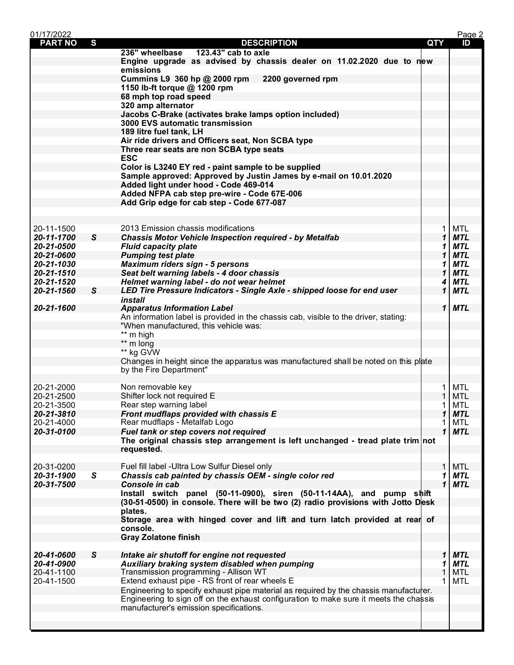| 01/17/2022               |              |                                                                                        |       |              | Page 2            |
|--------------------------|--------------|----------------------------------------------------------------------------------------|-------|--------------|-------------------|
| <b>PART NO</b>           | S            | <b>DESCRIPTION</b>                                                                     | QTY   |              | ID                |
|                          |              | 236" wheelbase<br>123.43" cab to axle                                                  |       |              |                   |
|                          |              | Engine upgrade as advised by chassis dealer on 11.02.2020 due to new                   |       |              |                   |
|                          |              | emissions                                                                              |       |              |                   |
|                          |              | Cummins L9 360 hp @ 2000 rpm<br>2200 governed rpm                                      |       |              |                   |
|                          |              | 1150 lb-ft torque @ 1200 rpm                                                           |       |              |                   |
|                          |              | 68 mph top road speed                                                                  |       |              |                   |
|                          |              | 320 amp alternator<br>Jacobs C-Brake (activates brake lamps option included)           |       |              |                   |
|                          |              | 3000 EVS automatic transmission                                                        |       |              |                   |
|                          |              | 189 litre fuel tank, LH                                                                |       |              |                   |
|                          |              | Air ride drivers and Officers seat, Non SCBA type                                      |       |              |                   |
|                          |              | Three rear seats are non SCBA type seats                                               |       |              |                   |
|                          |              | <b>ESC</b>                                                                             |       |              |                   |
|                          |              | Color is L3240 EY red - paint sample to be supplied                                    |       |              |                   |
|                          |              | Sample approved: Approved by Justin James by e-mail on 10.01.2020                      |       |              |                   |
|                          |              | Added light under hood - Code 469-014                                                  |       |              |                   |
|                          |              | Added NFPA cab step pre-wire - Code 67E-006                                            |       |              |                   |
|                          |              | Add Grip edge for cab step - Code 677-087                                              |       |              |                   |
|                          |              |                                                                                        |       |              |                   |
|                          |              |                                                                                        |       |              |                   |
| 20-11-1500               |              | 2013 Emission chassis modifications                                                    |       | $\mathbf{1}$ | <b>MTL</b>        |
| 20-11-1700               | S            | <b>Chassis Motor Vehicle Inspection required - by Metalfab</b>                         |       | $\mathbf 1$  | <b>MTL</b>        |
| 20-21-0500               |              | <b>Fluid capacity plate</b>                                                            |       | 1            | <b>MTL</b>        |
| 20-21-0600               |              | <b>Pumping test plate</b>                                                              |       | $\mathbf 1$  | <b>MTL</b>        |
| 20-21-1030               |              | <b>Maximum riders sign - 5 persons</b>                                                 |       | 1            | <b>MTL</b>        |
| 20-21-1510               |              | Seat belt warning labels - 4 door chassis                                              |       | 1            | <b>MTL</b>        |
| 20-21-1520               |              | Helmet warning label - do not wear helmet                                              |       | 4            | <b>MTL</b>        |
| 20-21-1560               | $\mathsf{s}$ | LED Tire Pressure Indicators - Single Axle - shipped loose for end user<br>install     |       | $\mathbf{1}$ | <b>MTL</b>        |
| 20-21-1600               |              | <b>Apparatus Information Label</b>                                                     |       | $\mathbf{1}$ | <b>MTL</b>        |
|                          |              | An information label is provided in the chassis cab, visible to the driver, stating:   |       |              |                   |
|                          |              | "When manufactured, this vehicle was:                                                  |       |              |                   |
|                          |              | ** m high                                                                              |       |              |                   |
|                          |              | ** m long                                                                              |       |              |                   |
|                          |              | ** kg GVW                                                                              |       |              |                   |
|                          |              | Changes in height since the apparatus was manufactured shall be noted on this plate    |       |              |                   |
|                          |              | by the Fire Department"                                                                |       |              |                   |
|                          |              |                                                                                        |       |              |                   |
| 20-21-2000               |              | Non removable key                                                                      |       | $\mathbf{1}$ | MTL               |
| 20-21-2500               |              | Shifter lock not required E                                                            |       | $\mathbf 1$  | MTL               |
| 20-21-3500               |              | Rear step warning label                                                                |       | $\mathbf{1}$ | MTL               |
| 20-21-3810               |              | Front mudflaps provided with chassis E                                                 |       | 1            | <b>MTL</b>        |
| 20-21-4000               |              | Rear mudflaps - Metalfab Logo                                                          |       |              | MTL               |
| 20-31-0100               |              | Fuel tank or step covers not required                                                  |       | $\mathbf{1}$ | <b>MTL</b>        |
|                          |              | The original chassis step arrangement is left unchanged - tread plate trim not         |       |              |                   |
|                          |              | requested.                                                                             |       |              |                   |
|                          |              | Fuel fill label - Ultra Low Sulfur Diesel only                                         |       | $\mathbf{1}$ |                   |
| 20-31-0200<br>20-31-1900 | $\mathsf{s}$ | Chassis cab painted by chassis OEM - single color red                                  |       | 1            | MTL<br><b>MTL</b> |
| 20-31-7500               |              | Console in cab                                                                         |       | $\mathbf{1}$ | <b>MTL</b>        |
|                          |              | Install switch panel (50-11-0900), siren (50-11-14AA), and pump                        | shift |              |                   |
|                          |              | (30-51-0500) in console. There will be two (2) radio provisions with Jotto Desk        |       |              |                   |
|                          |              | plates.                                                                                |       |              |                   |
|                          |              | Storage area with hinged cover and lift and turn latch provided at rear of             |       |              |                   |
|                          |              | console.                                                                               |       |              |                   |
|                          |              | <b>Gray Zolatone finish</b>                                                            |       |              |                   |
|                          |              |                                                                                        |       |              |                   |
| 20-41-0600               | S            | Intake air shutoff for engine not requested                                            |       | 1            | <b>MTL</b>        |
| 20-41-0900               |              | Auxiliary braking system disabled when pumping                                         |       | 1            | <b>MTL</b>        |
| 20-41-1100               |              | Transmission programming - Allison WT                                                  |       | 1            | <b>MTL</b>        |
| 20-41-1500               |              | Extend exhaust pipe - RS front of rear wheels E                                        |       | 1            | <b>MTL</b>        |
|                          |              | Engineering to specify exhaust pipe material as required by the chassis manufacturer.  |       |              |                   |
|                          |              | Engineering to sign off on the exhaust configuration to make sure it meets the chassis |       |              |                   |
|                          |              | manufacturer's emission specifications.                                                |       |              |                   |
|                          |              |                                                                                        |       |              |                   |
|                          |              |                                                                                        |       |              |                   |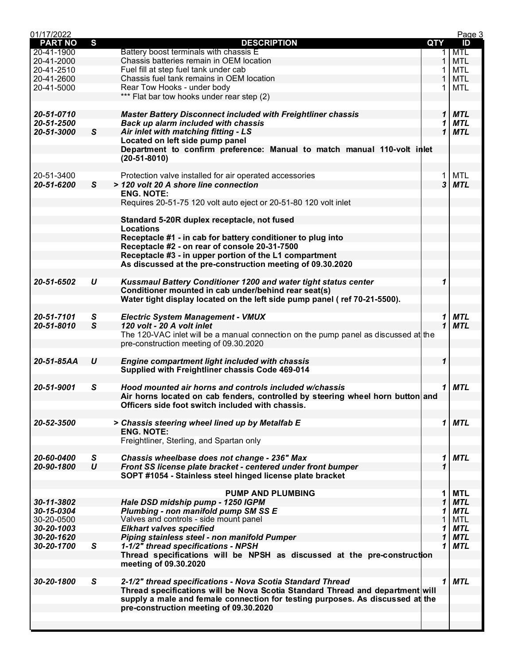| 01/17/2022     |                  |                                                                                     |     | Page 3          |  |
|----------------|------------------|-------------------------------------------------------------------------------------|-----|-----------------|--|
| <b>PART NO</b> | S                | <b>DESCRIPTION</b>                                                                  | QTY | ID              |  |
| 20-41-1900     |                  | Battery boost terminals with chassis E                                              |     | <b>MTL</b><br>1 |  |
| 20-41-2000     |                  | Chassis batteries remain in OEM location                                            |     | <b>MTL</b><br>1 |  |
| 20-41-2510     |                  | Fuel fill at step fuel tank under cab                                               |     | <b>MTL</b>      |  |
| 20-41-2600     |                  | Chassis fuel tank remains in OEM location                                           |     | <b>MTL</b>      |  |
| 20-41-5000     |                  | Rear Tow Hooks - under body                                                         |     | <b>MTL</b>      |  |
|                |                  |                                                                                     |     |                 |  |
|                |                  | *** Flat bar tow hooks under rear step (2)                                          |     |                 |  |
|                |                  |                                                                                     |     |                 |  |
| 20-51-0710     |                  | <b>Master Battery Disconnect included with Freightliner chassis</b>                 |     | 1<br><b>MTL</b> |  |
| 20-51-2500     |                  | Back up alarm included with chassis                                                 |     | <b>MTL</b><br>1 |  |
| 20-51-3000     | $\mathsf{s}$     | Air inlet with matching fitting - LS                                                |     | <b>MTL</b><br>1 |  |
|                |                  | Located on left side pump panel                                                     |     |                 |  |
|                |                  | Department to confirm preference: Manual to match manual 110-volt in let            |     |                 |  |
|                |                  | $(20-51-8010)$                                                                      |     |                 |  |
|                |                  |                                                                                     |     |                 |  |
| 20-51-3400     |                  | Protection valve installed for air operated accessories                             |     | MTL<br>1        |  |
| 20-51-6200     | $\mathsf{s}$     | > 120 volt 20 A shore line connection                                               |     | 3<br><b>MTL</b> |  |
|                |                  | <b>ENG. NOTE:</b>                                                                   |     |                 |  |
|                |                  |                                                                                     |     |                 |  |
|                |                  | Requires 20-51-75 120 volt auto eject or 20-51-80 120 volt inlet                    |     |                 |  |
|                |                  |                                                                                     |     |                 |  |
|                |                  | Standard 5-20R duplex receptacle, not fused                                         |     |                 |  |
|                |                  | <b>Locations</b>                                                                    |     |                 |  |
|                |                  | Receptacle #1 - in cab for battery conditioner to plug into                         |     |                 |  |
|                |                  | Receptacle #2 - on rear of console 20-31-7500                                       |     |                 |  |
|                |                  | Receptacle #3 - in upper portion of the L1 compartment                              |     |                 |  |
|                |                  | As discussed at the pre-construction meeting of 09.30.2020                          |     |                 |  |
|                |                  |                                                                                     |     |                 |  |
| 20-51-6502     | U                | Kussmaul Battery Conditioner 1200 and water tight status center                     |     | 1               |  |
|                |                  | Conditioner mounted in cab under/behind rear seat(s)                                |     |                 |  |
|                |                  | Water tight display located on the left side pump panel (ref 70-21-5500).           |     |                 |  |
|                |                  |                                                                                     |     |                 |  |
|                |                  |                                                                                     |     |                 |  |
| 20-51-7101     | S                | <b>Electric System Management - VMUX</b>                                            |     | <b>MTL</b><br>1 |  |
| 20-51-8010     | $\mathsf{s}$     | 120 volt - 20 A volt inlet                                                          |     | 1<br><b>MTL</b> |  |
|                |                  | The 120-VAC inlet will be a manual connection on the pump panel as discussed at the |     |                 |  |
|                |                  | pre-construction meeting of 09.30.2020                                              |     |                 |  |
|                |                  |                                                                                     |     |                 |  |
| 20-51-85AA     | $\boldsymbol{U}$ | <b>Engine compartment light included with chassis</b>                               |     | 1               |  |
|                |                  | Supplied with Freightliner chassis Code 469-014                                     |     |                 |  |
|                |                  |                                                                                     |     |                 |  |
| 20-51-9001     | S                | Hood mounted air horns and controls included w/chassis                              |     | 1<br>MTL        |  |
|                |                  | Air horns located on cab fenders, controlled by steering wheel horn button and      |     |                 |  |
|                |                  |                                                                                     |     |                 |  |
|                |                  | Officers side foot switch included with chassis.                                    |     |                 |  |
|                |                  |                                                                                     |     |                 |  |
| 20-52-3500     |                  | > Chassis steering wheel lined up by Metalfab E                                     |     | 1<br><b>MTL</b> |  |
|                |                  | <b>ENG. NOTE:</b>                                                                   |     |                 |  |
|                |                  | Freightliner, Sterling, and Spartan only                                            |     |                 |  |
|                |                  |                                                                                     |     |                 |  |
| 20-60-0400     | S                | Chassis wheelbase does not change - 236" Max                                        |     | <b>MTL</b><br>1 |  |
| 20-90-1800     | U                | Front SS license plate bracket - centered under front bumper                        |     |                 |  |
|                |                  | SOPT #1054 - Stainless steel hinged license plate bracket                           |     |                 |  |
|                |                  |                                                                                     |     |                 |  |
|                |                  | <b>PUMP AND PLUMBING</b>                                                            |     | <b>MTL</b><br>1 |  |
| 30-11-3802     |                  | Hale DSD midship pump - 1250 IGPM                                                   |     | 1<br><b>MTL</b> |  |
| 30-15-0304     |                  | Plumbing - non manifold pump SM SS E                                                |     | <b>MTL</b><br>1 |  |
| 30-20-0500     |                  | Valves and controls - side mount panel                                              |     | <b>MTL</b>      |  |
|                |                  |                                                                                     |     |                 |  |
| 30-20-1003     |                  | <b>Elkhart valves specified</b>                                                     |     | <b>MTL</b><br>1 |  |
| 30-20-1620     |                  | Piping stainless steel - non manifold Pumper                                        |     | 1<br><b>MTL</b> |  |
| 30-20-1700     | S                | 1-1/2" thread specifications - NPSH                                                 |     | <b>MTL</b><br>1 |  |
|                |                  | Thread specifications will be NPSH as discussed at the pre-construction             |     |                 |  |
|                |                  | meeting of 09.30.2020                                                               |     |                 |  |
|                |                  |                                                                                     |     |                 |  |
| 30-20-1800     | S                | 2-1/2" thread specifications - Nova Scotia Standard Thread                          |     | <b>MTL</b><br>1 |  |
|                |                  | Thread specifications will be Nova Scotia Standard Thread and department will       |     |                 |  |
|                |                  | supply a male and female connection for testing purposes. As discussed at the       |     |                 |  |
|                |                  | pre-construction meeting of 09.30.2020                                              |     |                 |  |
|                |                  |                                                                                     |     |                 |  |
|                |                  |                                                                                     |     |                 |  |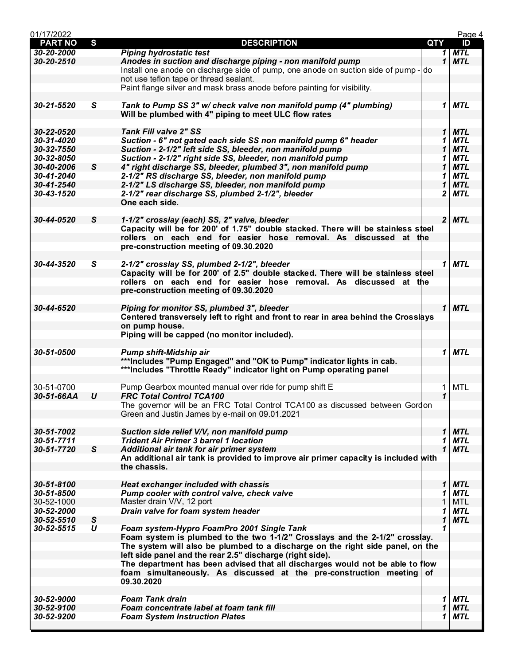| 01/17/2022               |                  |                                                                                    |            |              | Page 4            |
|--------------------------|------------------|------------------------------------------------------------------------------------|------------|--------------|-------------------|
| <b>PART NO</b>           | $\mathbf{s}$     | <b>DESCRIPTION</b>                                                                 | <b>QTY</b> |              | ID                |
| 30-20-2000               |                  | <b>Piping hydrostatic test</b>                                                     |            | 1            | <b>MTL</b>        |
| 30-20-2510               |                  | Anodes in suction and discharge piping - non manifold pump                         |            | 1            | <b>MTL</b>        |
|                          |                  | Install one anode on discharge side of pump, one anode on suction side of pump- do |            |              |                   |
|                          |                  | not use teflon tape or thread sealant.                                             |            |              |                   |
|                          |                  | Paint flange silver and mask brass anode before painting for visibility.           |            |              |                   |
|                          |                  |                                                                                    |            |              |                   |
| 30-21-5520               | S                | Tank to Pump SS 3" w/ check valve non manifold pump (4" plumbing)                  |            | 1            | <b>MTL</b>        |
|                          |                  | Will be plumbed with 4" piping to meet ULC flow rates                              |            |              |                   |
| 30-22-0520               |                  | <b>Tank Fill valve 2" SS</b>                                                       |            | 1            | <b>MTL</b>        |
| 30-31-4020               |                  | Suction - 6" not gated each side SS non manifold pump 6" header                    |            | 1            | <b>MTL</b>        |
| 30-32-7550               |                  | Suction - 2-1/2" left side SS, bleeder, non manifold pump                          |            | 1            | <b>MTL</b>        |
| 30-32-8050               |                  | Suction - 2-1/2" right side SS, bleeder, non manifold pump                         |            | 1            | <b>MTL</b>        |
| 30-40-2006               | $\mathsf{s}$     | 4" right discharge SS, bleeder, plumbed 3", non manifold pump                      |            | 1            | <b>MTL</b>        |
| 30-41-2040               |                  | 2-1/2" RS discharge SS, bleeder, non manifold pump                                 |            | 1            | <b>MTL</b>        |
| 30-41-2540               |                  | 2-1/2" LS discharge SS, bleeder, non manifold pump                                 |            | 1            | <b>MTL</b>        |
| 30-43-1520               |                  | 2-1/2" rear discharge SS, plumbed 2-1/2", bleeder                                  |            | 2            | <b>MTL</b>        |
|                          |                  | One each side.                                                                     |            |              |                   |
|                          |                  |                                                                                    |            |              |                   |
| 30-44-0520               | S                | 1-1/2" crosslay (each) SS, 2" valve, bleeder                                       |            |              | $2$ MTL           |
|                          |                  | Capacity will be for 200' of 1.75" double stacked. There will be stainless steel   |            |              |                   |
|                          |                  | rollers on each end for easier hose removal. As discussed at the                   |            |              |                   |
|                          |                  | pre-construction meeting of 09.30.2020                                             |            |              |                   |
|                          |                  |                                                                                    |            |              |                   |
| 30-44-3520               | S                | 2-1/2" crosslay SS, plumbed 2-1/2", bleeder                                        |            | 1            | <b>MTL</b>        |
|                          |                  | Capacity will be for 200' of 2.5" double stacked. There will be stainless steel    |            |              |                   |
|                          |                  | rollers on each end for easier hose removal. As discussed at the                   |            |              |                   |
|                          |                  | pre-construction meeting of 09.30.2020                                             |            |              |                   |
|                          |                  |                                                                                    |            |              |                   |
| 30-44-6520               |                  | Piping for monitor SS, plumbed 3", bleeder                                         |            | $\mathbf{1}$ | <b>MTL</b>        |
|                          |                  | Centered transversely left to right and front to rear in area behind the Crosslays |            |              |                   |
|                          |                  | on pump house.                                                                     |            |              |                   |
|                          |                  | Piping will be capped (no monitor included).                                       |            |              |                   |
| 30-51-0500               |                  | Pump shift-Midship air                                                             |            | 1            | <b>MTL</b>        |
|                          |                  | ***Includes "Pump Engaged" and "OK to Pump" indicator lights in cab.               |            |              |                   |
|                          |                  | ***Includes "Throttle Ready" indicator light on Pump operating panel               |            |              |                   |
|                          |                  |                                                                                    |            |              |                   |
| 30-51-0700               |                  | Pump Gearbox mounted manual over ride for pump shift E                             |            | 1            | <b>MTL</b>        |
| 30-51-66AA               | $\boldsymbol{U}$ | <b>FRC Total Control TCA100</b>                                                    |            | $\mathbf 1$  |                   |
|                          |                  | The governor will be an FRC Total Control TCA100 as discussed between Gordon       |            |              |                   |
|                          |                  | Green and Justin James by e-mail on 09.01.2021                                     |            |              |                   |
|                          |                  |                                                                                    |            |              |                   |
| 30-51-7002               |                  | Suction side relief V/V, non manifold pump                                         |            | 1            | <b>MTL</b>        |
| 30-51-7711               |                  | <b>Trident Air Primer 3 barrel 1 location</b>                                      |            | 1            | MTL               |
| 30-51-7720               | $\mathsf{s}$     | Additional air tank for air primer system                                          |            | 1            | <b>MTL</b>        |
|                          |                  | An additional air tank is provided to improve air primer capacity is included with |            |              |                   |
|                          |                  | the chassis.                                                                       |            |              |                   |
|                          |                  |                                                                                    |            |              |                   |
| 30-51-8100               |                  | <b>Heat exchanger included with chassis</b>                                        |            | 1            | <b>MTL</b>        |
| 30-51-8500               |                  | Pump cooler with control valve, check valve                                        |            | 1            | <b>MTL</b>        |
| 30-52-1000               |                  | Master drain V/V, 12 port                                                          |            | 1            | <b>MTL</b>        |
| 30-52-2000               |                  | Drain valve for foam system header                                                 |            | 1            | <b>MTL</b>        |
| 30-52-5510               | S                |                                                                                    |            | 1            | <b>MTL</b>        |
| 30-52-5515               | $\boldsymbol{U}$ | Foam system-Hypro FoamPro 2001 Single Tank                                         |            | 1            |                   |
|                          |                  | Foam system is plumbed to the two 1-1/2" Crosslays and the 2-1/2" crosslay.        |            |              |                   |
|                          |                  | The system will also be plumbed to a discharge on the right side panel, on the     |            |              |                   |
|                          |                  | left side panel and the rear 2.5" discharge (right side).                          |            |              |                   |
|                          |                  | The department has been advised that all discharges would not be able to flow      |            |              |                   |
|                          |                  | foam simultaneously. As discussed at the pre-construction meeting                  | of         |              |                   |
|                          |                  | 09.30.2020                                                                         |            |              |                   |
|                          |                  |                                                                                    |            |              |                   |
| 30-52-9000               |                  | <b>Foam Tank drain</b>                                                             |            | 1            | <b>MTL</b>        |
| 30-52-9100<br>30-52-9200 |                  | Foam concentrate label at foam tank fill                                           |            | 1<br>1       | <b>MTL</b><br>MTL |
|                          |                  | <b>Foam System Instruction Plates</b>                                              |            |              |                   |
|                          |                  |                                                                                    |            |              |                   |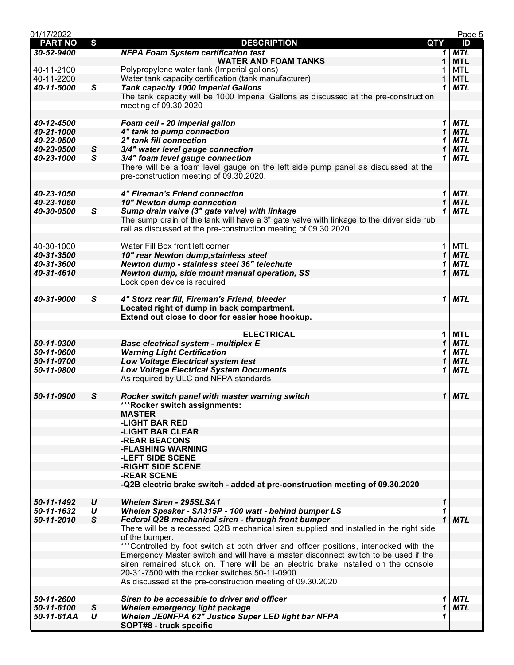| 01/17/2022     |                   |                                                                                          |            |                  | Page 5     |
|----------------|-------------------|------------------------------------------------------------------------------------------|------------|------------------|------------|
| <b>PART NO</b> | S                 | <b>DESCRIPTION</b>                                                                       | <b>QTY</b> |                  | ID         |
| 30-52-9400     |                   | <b>NFPA Foam System certification test</b>                                               |            | 1                | <b>MTL</b> |
|                |                   | <b>WATER AND FOAM TANKS</b>                                                              |            | 1                | <b>MTL</b> |
| 40-11-2100     |                   | Polypropylene water tank (Imperial gallons)                                              |            | 1                | <b>MTL</b> |
| 40-11-2200     |                   | Water tank capacity certification (tank manufacturer)                                    |            | 1                | <b>MTL</b> |
| 40-11-5000     | S                 | <b>Tank capacity 1000 Imperial Gallons</b>                                               |            | 1                | <b>MTL</b> |
|                |                   | The tank capacity will be 1000 Imperial Gallons as discussed at the pre-construction     |            |                  |            |
|                |                   | meeting of 09.30.2020                                                                    |            |                  |            |
|                |                   |                                                                                          |            |                  |            |
| 40-12-4500     |                   | Foam cell - 20 Imperial gallon                                                           |            | 1                | <b>MTL</b> |
| 40-21-1000     |                   | 4" tank to pump connection                                                               |            | 1                | <b>MTL</b> |
| 40-22-0500     |                   | 2" tank fill connection                                                                  |            | 1                | <b>MTL</b> |
| 40-23-0500     | $\mathsf{s}$      | 3/4" water level gauge connection                                                        |            | 1                | <b>MTL</b> |
| 40-23-1000     | S                 | 3/4" foam level gauge connection                                                         |            | 1                | <b>MTL</b> |
|                |                   | There will be a foam level gauge on the left side pump panel as discussed at the         |            |                  |            |
|                |                   |                                                                                          |            |                  |            |
|                |                   | pre-construction meeting of 09.30.2020.                                                  |            |                  |            |
|                |                   |                                                                                          |            |                  |            |
| 40-23-1050     |                   | 4" Fireman's Friend connection                                                           |            | 1                | <b>MTL</b> |
| 40-23-1060     |                   | 10" Newton dump connection                                                               |            | 1                | <b>MTL</b> |
| 40-30-0500     | $\mathsf{s}$      | Sump drain valve (3" gate valve) with linkage                                            |            | 1                | <b>MTL</b> |
|                |                   | The sump drain of the tank will have a 3" gate valve with linkage to the driver side rub |            |                  |            |
|                |                   | rail as discussed at the pre-construction meeting of 09.30.2020                          |            |                  |            |
|                |                   |                                                                                          |            |                  |            |
| 40-30-1000     |                   | Water Fill Box front left corner                                                         |            | 1                | MTL        |
| 40-31-3500     |                   | 10" rear Newton dump, stainless steel                                                    |            | $\mathbf 1$      | <b>MTL</b> |
| 40-31-3600     |                   | Newton dump - stainless steel 36" telechute                                              |            | 1                | <b>MTL</b> |
| 40-31-4610     |                   | Newton dump, side mount manual operation, SS                                             |            | 1                | <b>MTL</b> |
|                |                   | Lock open device is required                                                             |            |                  |            |
|                |                   |                                                                                          |            |                  |            |
| 40-31-9000     | S                 | 4" Storz rear fill, Fireman's Friend, bleeder                                            |            | 1                | MTL        |
|                |                   | Located right of dump in back compartment.                                               |            |                  |            |
|                |                   | Extend out close to door for easier hose hookup.                                         |            |                  |            |
|                |                   |                                                                                          |            |                  |            |
|                |                   | <b>ELECTRICAL</b>                                                                        |            | 1                | <b>MTL</b> |
|                |                   |                                                                                          |            |                  |            |
| 50-11-0300     |                   | <b>Base electrical system - multiplex E</b>                                              |            | 1                | <b>MTL</b> |
| 50-11-0600     |                   | <b>Warning Light Certification</b>                                                       |            | 1                | <b>MTL</b> |
| 50-11-0700     |                   | <b>Low Voltage Electrical system test</b>                                                |            | 1                | <b>MTL</b> |
| 50-11-0800     |                   | <b>Low Voltage Electrical System Documents</b>                                           |            | 1                | <b>MTL</b> |
|                |                   | As required by ULC and NFPA standards                                                    |            |                  |            |
|                |                   |                                                                                          |            |                  |            |
| 50-11-0900     | $\mathsf{s}$      | Rocker switch panel with master warning switch                                           |            |                  | $1$ MTL    |
|                |                   | *** Rocker switch assignments:                                                           |            |                  |            |
|                |                   | <b>MASTER</b>                                                                            |            |                  |            |
|                |                   | -LIGHT BAR RED                                                                           |            |                  |            |
|                |                   | <b>-LIGHT BAR CLEAR</b>                                                                  |            |                  |            |
|                |                   | -REAR BEACONS                                                                            |            |                  |            |
|                |                   | -FLASHING WARNING                                                                        |            |                  |            |
|                |                   | -LEFT SIDE SCENE                                                                         |            |                  |            |
|                |                   | -RIGHT SIDE SCENE                                                                        |            |                  |            |
|                |                   | -REAR SCENE                                                                              |            |                  |            |
|                |                   | -Q2B electric brake switch - added at pre-construction meeting of 09.30.2020             |            |                  |            |
|                |                   |                                                                                          |            |                  |            |
| 50-11-1492     | U                 | <b>Whelen Siren - 295SLSA1</b>                                                           |            | 1                |            |
| 50-11-1632     |                   | Whelen Speaker - SA315P - 100 watt - behind bumper LS                                    |            |                  |            |
|                | U<br>$\mathsf{s}$ |                                                                                          |            | 1<br>$\mathbf 1$ | <b>MTL</b> |
| 50-11-2010     |                   | Federal Q2B mechanical siren - through front bumper                                      |            |                  |            |
|                |                   | There will be a recessed Q2B mechanical siren supplied and installed in the right side   |            |                  |            |
|                |                   | of the bumper.                                                                           |            |                  |            |
|                |                   | *** Controlled by foot switch at both driver and officer positions, interlocked with the |            |                  |            |
|                |                   | Emergency Master switch and will have a master disconnect switch to be used if the       |            |                  |            |
|                |                   | siren remained stuck on. There will be an electric brake installed on the console        |            |                  |            |
|                |                   | 20-31-7500 with the rocker switches 50-11-0900                                           |            |                  |            |
|                |                   | As discussed at the pre-construction meeting of 09.30.2020                               |            |                  |            |
|                |                   |                                                                                          |            |                  |            |
| 50-11-2600     |                   | Siren to be accessible to driver and officer                                             |            | 1                | <b>MTL</b> |
| 50-11-6100     | $\mathsf{s}$      | Whelen emergency light package                                                           |            | 1                | <b>MTL</b> |
| 50-11-61AA     | U                 | Whelen JE0NFPA 62" Justice Super LED light bar NFPA                                      |            | 1                |            |
|                |                   | SOPT#8 - truck specific                                                                  |            |                  |            |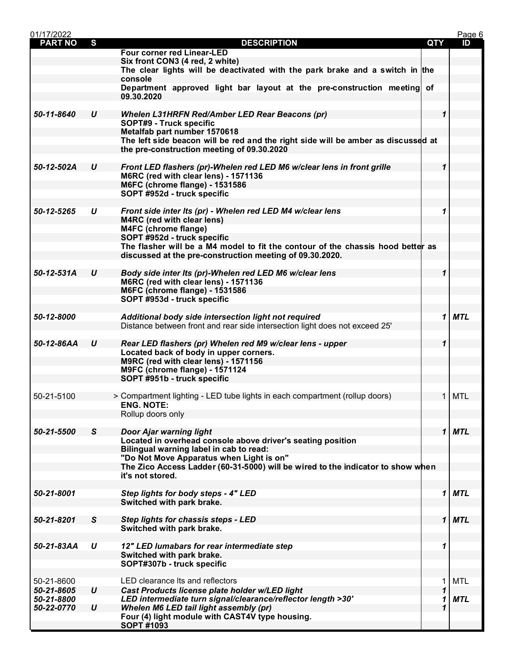| 01/17/2022               |                  |                                                                                                        |             | Page 6     |
|--------------------------|------------------|--------------------------------------------------------------------------------------------------------|-------------|------------|
| <b>PART NO</b>           | S                | <b>DESCRIPTION</b>                                                                                     | QTY         | ID         |
|                          |                  | <b>Four corner red Linear-LED</b>                                                                      |             |            |
|                          |                  | Six front CON3 (4 red, 2 white)                                                                        |             |            |
|                          |                  | The clear lights will be deactivated with the park brake and a switch in the                           |             |            |
|                          |                  | console                                                                                                |             |            |
|                          |                  | Department approved light bar layout at the pre-construction meeting of<br>09.30.2020                  |             |            |
|                          |                  |                                                                                                        |             |            |
| 50-11-8640               | U                | <b>Whelen L31HRFN Red/Amber LED Rear Beacons (pr)</b>                                                  | 1           |            |
|                          |                  | SOPT#9 - Truck specific                                                                                |             |            |
|                          |                  | Metalfab part number 1570618                                                                           |             |            |
|                          |                  | The left side beacon will be red and the right side will be amber as discussed at                      |             |            |
|                          |                  | the pre-construction meeting of 09.30.2020                                                             |             |            |
|                          |                  |                                                                                                        |             |            |
| 50-12-502A               | U                | Front LED flashers (pr)-Whelen red LED M6 w/clear lens in front grille                                 | 1           |            |
|                          |                  | M6RC (red with clear lens) - 1571136<br><b>M6FC (chrome flange) - 1531586</b>                          |             |            |
|                          |                  | SOPT #952d - truck specific                                                                            |             |            |
|                          |                  |                                                                                                        |             |            |
| 50-12-5265               | U                | Front side inter Its (pr) - Whelen red LED M4 w/clear lens                                             | 1           |            |
|                          |                  | M4RC (red with clear lens)                                                                             |             |            |
|                          |                  | M4FC (chrome flange)                                                                                   |             |            |
|                          |                  | SOPT #952d - truck specific                                                                            |             |            |
|                          |                  | The flasher will be a M4 model to fit the contour of the chassis hood better as                        |             |            |
|                          |                  | discussed at the pre-construction meeting of 09.30.2020.                                               |             |            |
|                          |                  |                                                                                                        |             |            |
| 50-12-531A               | U                | Body side inter Its (pr)-Whelen red LED M6 w/clear lens<br>M6RC (red with clear lens) - 1571136        | 1           |            |
|                          |                  | <b>M6FC (chrome flange) - 1531586</b>                                                                  |             |            |
|                          |                  | SOPT #953d - truck specific                                                                            |             |            |
|                          |                  |                                                                                                        |             |            |
| 50-12-8000               |                  | Additional body side intersection light not required                                                   | 1           | <b>MTL</b> |
|                          |                  | Distance between front and rear side intersection light does not exceed 25'                            |             |            |
|                          |                  |                                                                                                        |             |            |
| 50-12-86AA               | U                | Rear LED flashers (pr) Whelen red M9 w/clear lens - upper                                              | 1           |            |
|                          |                  | Located back of body in upper corners.<br>M9RC (red with clear lens) - 1571156                         |             |            |
|                          |                  | M9FC (chrome flange) - 1571124                                                                         |             |            |
|                          |                  | SOPT #951b - truck specific                                                                            |             |            |
|                          |                  |                                                                                                        |             |            |
| 50-21-5100               |                  | > Compartment lighting - LED tube lights in each compartment (rollup doors)                            | 1           | <b>MTL</b> |
|                          |                  | <b>ENG. NOTE:</b>                                                                                      |             |            |
|                          |                  | Rollup doors only                                                                                      |             |            |
|                          |                  |                                                                                                        |             |            |
| 50-21-5500               | S                | <b>Door Ajar warning light</b>                                                                         |             | $1$ MTL    |
|                          |                  | Located in overhead console above driver's seating position<br>Bilingual warning label in cab to read: |             |            |
|                          |                  | "Do Not Move Apparatus when Light is on"                                                               |             |            |
|                          |                  | The Zico Access Ladder (60-31-5000) will be wired to the indicator to show when                        |             |            |
|                          |                  | it's not stored.                                                                                       |             |            |
|                          |                  |                                                                                                        |             |            |
| 50-21-8001               |                  | Step lights for body steps - 4" LED                                                                    | $\mathbf 1$ | <b>MTL</b> |
|                          |                  | Switched with park brake.                                                                              |             |            |
| 50-21-8201               | S                |                                                                                                        | $\mathbf 1$ | <b>MTL</b> |
|                          |                  | Step lights for chassis steps - LED<br>Switched with park brake.                                       |             |            |
|                          |                  |                                                                                                        |             |            |
| 50-21-83AA               | U                | 12" LED lumabars for rear intermediate step                                                            | 1           |            |
|                          |                  | Switched with park brake.                                                                              |             |            |
|                          |                  | SOPT#307b - truck specific                                                                             |             |            |
|                          |                  |                                                                                                        |             |            |
| 50-21-8600               |                  | LED clearance Its and reflectors                                                                       | 1           | <b>MTL</b> |
| 50-21-8605               | $\boldsymbol{U}$ | Cast Products license plate holder w/LED light                                                         | 1           |            |
| 50-21-8800<br>50-22-0770 | $\boldsymbol{U}$ | LED intermediate turn signal/clearance/reflector length >30'<br>Whelen M6 LED tail light assembly (pr) | 1<br>1      | <b>MTL</b> |
|                          |                  | Four (4) light module with CAST4V type housing.                                                        |             |            |
|                          |                  | <b>SOPT #1093</b>                                                                                      |             |            |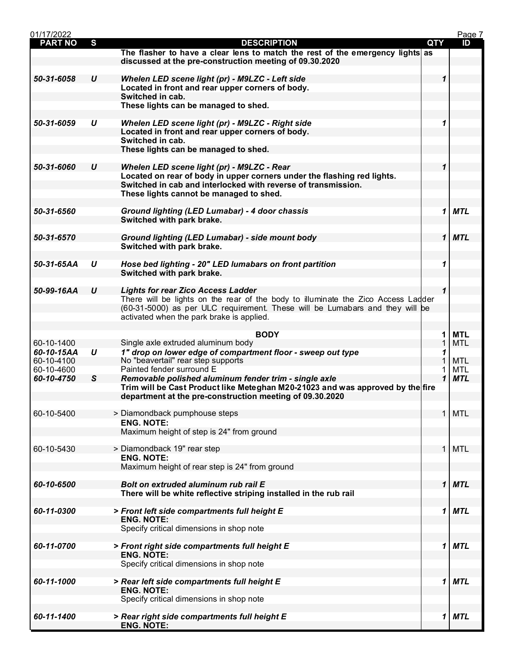| 01/17/2022               |                  |                                                                                                                                                                                     |            |              | Page 7     |
|--------------------------|------------------|-------------------------------------------------------------------------------------------------------------------------------------------------------------------------------------|------------|--------------|------------|
| <b>PART NO</b>           | S                | <b>DESCRIPTION</b>                                                                                                                                                                  | <b>QTY</b> |              | ID         |
|                          |                  | The flasher to have a clear lens to match the rest of the emergency lights as<br>discussed at the pre-construction meeting of 09.30.2020                                            |            |              |            |
| 50-31-6058               | $\boldsymbol{U}$ | Whelen LED scene light (pr) - M9LZC - Left side                                                                                                                                     |            | 1            |            |
|                          |                  | Located in front and rear upper corners of body.                                                                                                                                    |            |              |            |
|                          |                  | Switched in cab.                                                                                                                                                                    |            |              |            |
|                          |                  | These lights can be managed to shed.                                                                                                                                                |            |              |            |
| 50-31-6059               | U                | Whelen LED scene light (pr) - M9LZC - Right side                                                                                                                                    |            | 1            |            |
|                          |                  | Located in front and rear upper corners of body.<br>Switched in cab.                                                                                                                |            |              |            |
|                          |                  | These lights can be managed to shed.                                                                                                                                                |            |              |            |
|                          |                  |                                                                                                                                                                                     |            |              |            |
| 50-31-6060               | U                | Whelen LED scene light (pr) - M9LZC - Rear                                                                                                                                          |            |              |            |
|                          |                  | Located on rear of body in upper corners under the flashing red lights.<br>Switched in cab and interlocked with reverse of transmission.<br>These lights cannot be managed to shed. |            |              |            |
| 50-31-6560               |                  | Ground lighting (LED Lumabar) - 4 door chassis                                                                                                                                      |            | 1            | MTL        |
|                          |                  | Switched with park brake.                                                                                                                                                           |            |              |            |
| 50-31-6570               |                  |                                                                                                                                                                                     |            | $\mathbf 1$  | <b>MTL</b> |
|                          |                  | Ground lighting (LED Lumabar) - side mount body<br>Switched with park brake.                                                                                                        |            |              |            |
|                          |                  |                                                                                                                                                                                     |            |              |            |
| 50-31-65AA               | U                | Hose bed lighting - 20" LED lumabars on front partition<br>Switched with park brake.                                                                                                |            | 1            |            |
|                          |                  |                                                                                                                                                                                     |            |              |            |
| 50-99-16AA               | U                | <b>Lights for rear Zico Access Ladder</b>                                                                                                                                           |            | $\mathbf{1}$ |            |
|                          |                  | There will be lights on the rear of the body to illuminate the Zico Access Ladder<br>(60-31-5000) as per ULC requirement. These will be Lumabars and they will be                   |            |              |            |
|                          |                  | activated when the park brake is applied.                                                                                                                                           |            |              |            |
|                          |                  | <b>BODY</b>                                                                                                                                                                         |            | 1            | <b>MTL</b> |
| 60-10-1400               |                  | Single axle extruded aluminum body                                                                                                                                                  |            |              | <b>MTL</b> |
| 60-10-15AA<br>60-10-4100 | $\boldsymbol{U}$ | 1" drop on lower edge of compartment floor - sweep out type<br>No "beavertail" rear step supports                                                                                   |            | 1            | <b>MTL</b> |
| 60-10-4600               |                  | Painted fender surround E                                                                                                                                                           |            |              | <b>MTL</b> |
| 60-10-4750               | S                | Removable polished aluminum fender trim - single axle                                                                                                                               |            | $\mathbf{1}$ | <b>MTL</b> |
|                          |                  | Trim will be Cast Product like Meteghan M20-21023 and was approved by the fire<br>department at the pre-construction meeting of 09.30.2020                                          |            |              |            |
| 60-10-5400               |                  | > Diamondback pumphouse steps                                                                                                                                                       |            | 1            | <b>MTL</b> |
|                          |                  | <b>ENG. NOTE:</b>                                                                                                                                                                   |            |              |            |
|                          |                  | Maximum height of step is 24" from ground                                                                                                                                           |            |              |            |
| 60-10-5430               |                  | > Diamondback 19" rear step                                                                                                                                                         |            | 1            | <b>MTL</b> |
|                          |                  | <b>ENG. NOTE:</b>                                                                                                                                                                   |            |              |            |
|                          |                  | Maximum height of rear step is 24" from ground                                                                                                                                      |            |              |            |
| 60-10-6500               |                  | Bolt on extruded aluminum rub rail E                                                                                                                                                |            | 1            | <b>MTL</b> |
|                          |                  | There will be white reflective striping installed in the rub rail                                                                                                                   |            |              |            |
| 60-11-0300               |                  | > Front left side compartments full height E                                                                                                                                        |            | 1            | <b>MTL</b> |
|                          |                  | <b>ENG. NOTE:</b>                                                                                                                                                                   |            |              |            |
|                          |                  | Specify critical dimensions in shop note                                                                                                                                            |            |              |            |
| 60-11-0700               |                  | > Front right side compartments full height E                                                                                                                                       |            | 1            | <b>MTL</b> |
|                          |                  | <b>ENG. NOTE:</b>                                                                                                                                                                   |            |              |            |
|                          |                  | Specify critical dimensions in shop note                                                                                                                                            |            |              |            |
| 60-11-1000               |                  | > Rear left side compartments full height E                                                                                                                                         |            | 1            | <b>MTL</b> |
|                          |                  | <b>ENG. NOTE:</b>                                                                                                                                                                   |            |              |            |
|                          |                  | Specify critical dimensions in shop note                                                                                                                                            |            |              |            |
| 60-11-1400               |                  | > Rear right side compartments full height E                                                                                                                                        |            | 1            | <b>MTL</b> |
|                          |                  | <b>ENG. NOTE:</b>                                                                                                                                                                   |            |              |            |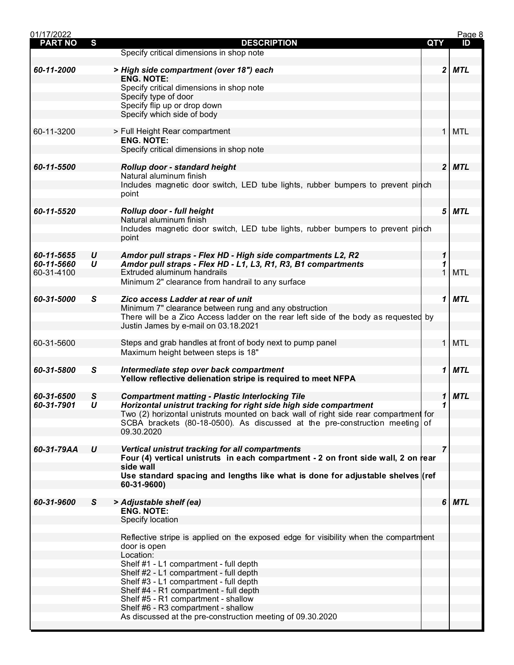| 01/17/2022     |                  |                                                                                      |            |   | Page 8     |
|----------------|------------------|--------------------------------------------------------------------------------------|------------|---|------------|
| <b>PART NO</b> | S                | <b>DESCRIPTION</b>                                                                   | <b>QTY</b> |   | ID         |
|                |                  | Specify critical dimensions in shop note                                             |            |   |            |
| 60-11-2000     |                  |                                                                                      |            | 2 | MTL        |
|                |                  | > High side compartment (over 18") each<br><b>ENG. NOTE:</b>                         |            |   |            |
|                |                  | Specify critical dimensions in shop note                                             |            |   |            |
|                |                  | Specify type of door                                                                 |            |   |            |
|                |                  | Specify flip up or drop down                                                         |            |   |            |
|                |                  | Specify which side of body                                                           |            |   |            |
|                |                  |                                                                                      |            |   |            |
| 60-11-3200     |                  | > Full Height Rear compartment                                                       |            | 1 | <b>MTL</b> |
|                |                  | <b>ENG. NOTE:</b>                                                                    |            |   |            |
|                |                  | Specify critical dimensions in shop note                                             |            |   |            |
|                |                  |                                                                                      |            |   |            |
| 60-11-5500     |                  | Rollup door - standard height                                                        |            |   | 2 MTL      |
|                |                  | Natural aluminum finish                                                              |            |   |            |
|                |                  | Includes magnetic door switch, LED tube lights, rubber bumpers to prevent pinch      |            |   |            |
|                |                  | point                                                                                |            |   |            |
|                |                  |                                                                                      |            | 5 | <b>MTL</b> |
| 60-11-5520     |                  | Rollup door - full height<br>Natural aluminum finish                                 |            |   |            |
|                |                  | Includes magnetic door switch, LED tube lights, rubber bumpers to prevent pinch      |            |   |            |
|                |                  | point                                                                                |            |   |            |
|                |                  |                                                                                      |            |   |            |
| 60-11-5655     | U                | Amdor pull straps - Flex HD - High side compartments L2, R2                          |            | 1 |            |
| 60-11-5660     | $\boldsymbol{U}$ | Amdor pull straps - Flex HD - L1, L3, R1, R3, B1 compartments                        |            | 1 |            |
| 60-31-4100     |                  | Extruded aluminum handrails                                                          |            |   | <b>MTL</b> |
|                |                  | Minimum 2" clearance from handrail to any surface                                    |            |   |            |
|                |                  |                                                                                      |            |   |            |
| 60-31-5000     | S                | Zico access Ladder at rear of unit                                                   |            | 1 | <b>MTL</b> |
|                |                  | Minimum 7" clearance between rung and any obstruction                                |            |   |            |
|                |                  | There will be a Zico Access ladder on the rear left side of the body as requested by |            |   |            |
|                |                  | Justin James by e-mail on 03.18.2021                                                 |            |   |            |
|                |                  |                                                                                      |            |   |            |
| 60-31-5600     |                  | Steps and grab handles at front of body next to pump panel                           |            | 1 | <b>MTL</b> |
|                |                  | Maximum height between steps is 18"                                                  |            |   |            |
| 60-31-5800     | S                | Intermediate step over back compartment                                              |            | 1 | <b>MTL</b> |
|                |                  | Yellow reflective delienation stripe is required to meet NFPA                        |            |   |            |
|                |                  |                                                                                      |            |   |            |
| 60-31-6500     | S                | <b>Compartment matting - Plastic Interlocking Tile</b>                               |            | 1 | <b>MTL</b> |
| 60-31-7901     | $\boldsymbol{u}$ | Horizontal unistrut tracking for right side high side compartment                    |            | 1 |            |
|                |                  | Two (2) horizontal unistruts mounted on back wall of right side rear compartment for |            |   |            |
|                |                  | SCBA brackets (80-18-0500). As discussed at the pre-construction meeting of          |            |   |            |
|                |                  | 09.30.2020                                                                           |            |   |            |
|                |                  |                                                                                      |            |   |            |
| 60-31-79AA     | U                | Vertical unistrut tracking for all compartments                                      |            | 7 |            |
|                |                  | Four (4) vertical unistruts in each compartment - 2 on front side wall, 2 on rear    |            |   |            |
|                |                  | side wall                                                                            |            |   |            |
|                |                  | Use standard spacing and lengths like what is done for adjustable shelves (ref       |            |   |            |
|                |                  | 60-31-9600)                                                                          |            |   |            |
| 60-31-9600     | S                |                                                                                      |            | 6 | <b>MTL</b> |
|                |                  | > Adjustable shelf (ea)<br><b>ENG. NOTE:</b>                                         |            |   |            |
|                |                  | Specify location                                                                     |            |   |            |
|                |                  |                                                                                      |            |   |            |
|                |                  | Reflective stripe is applied on the exposed edge for visibility when the compartment |            |   |            |
|                |                  | door is open                                                                         |            |   |            |
|                |                  | Location:                                                                            |            |   |            |
|                |                  | Shelf #1 - L1 compartment - full depth                                               |            |   |            |
|                |                  | Shelf #2 - L1 compartment - full depth                                               |            |   |            |
|                |                  | Shelf #3 - L1 compartment - full depth                                               |            |   |            |
|                |                  | Shelf #4 - R1 compartment - full depth                                               |            |   |            |
|                |                  | Shelf #5 - R1 compartment - shallow                                                  |            |   |            |
|                |                  | Shelf #6 - R3 compartment - shallow                                                  |            |   |            |
|                |                  | As discussed at the pre-construction meeting of 09.30.2020                           |            |   |            |
|                |                  |                                                                                      |            |   |            |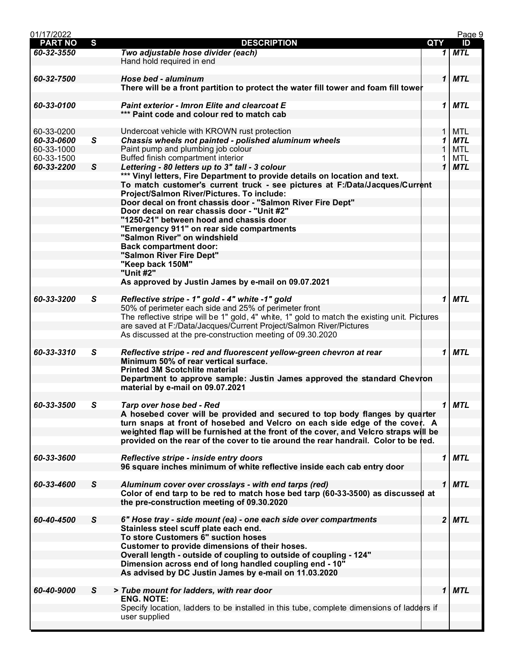| 01/17/2022     |              |                                                                                               |            |              | Page 9     |
|----------------|--------------|-----------------------------------------------------------------------------------------------|------------|--------------|------------|
| <b>PART NO</b> | S            | <b>DESCRIPTION</b>                                                                            | <b>QTY</b> |              | ID         |
| 60-32-3550     |              | Two adjustable hose divider (each)                                                            |            |              | $1$ MTL    |
|                |              | Hand hold required in end                                                                     |            |              |            |
|                |              |                                                                                               |            |              |            |
| 60-32-7500     |              | Hose bed - aluminum                                                                           |            |              | $1$ MTL    |
|                |              |                                                                                               |            |              |            |
|                |              | There will be a front partition to protect the water fill tower and foam fill tower           |            |              |            |
|                |              |                                                                                               |            |              |            |
| 60-33-0100     |              | <b>Paint exterior - Imron Elite and clearcoat E</b>                                           |            | 1            | MTL        |
|                |              | *** Paint code and colour red to match cab                                                    |            |              |            |
|                |              |                                                                                               |            |              |            |
| 60-33-0200     |              | Undercoat vehicle with KROWN rust protection                                                  |            | 1            | <b>MTL</b> |
| 60-33-0600     | $\mathsf{s}$ | Chassis wheels not painted - polished aluminum wheels                                         |            | 1            | <b>MTL</b> |
| 60-33-1000     |              | Paint pump and plumbing job colour                                                            |            | 1            | <b>MTL</b> |
|                |              | Buffed finish compartment interior                                                            |            |              |            |
| 60-33-1500     |              |                                                                                               |            | 1            | MTL        |
| 60-33-2200     | $\mathsf{s}$ | Lettering - 80 letters up to 3" tall - 3 colour                                               |            | $\mathbf 1$  | <b>MTL</b> |
|                |              | *** Vinyl letters, Fire Department to provide details on location and text.                   |            |              |            |
|                |              | To match customer's current truck - see pictures at F:/Data/Jacques/Current                   |            |              |            |
|                |              | Project/Salmon River/Pictures. To include:                                                    |            |              |            |
|                |              | Door decal on front chassis door - "Salmon River Fire Dept"                                   |            |              |            |
|                |              | Door decal on rear chassis door - "Unit #2"                                                   |            |              |            |
|                |              | "1250-21" between hood and chassis door                                                       |            |              |            |
|                |              |                                                                                               |            |              |            |
|                |              | "Emergency 911" on rear side compartments                                                     |            |              |            |
|                |              | "Salmon River" on windshield                                                                  |            |              |            |
|                |              | <b>Back compartment door:</b>                                                                 |            |              |            |
|                |              | "Salmon River Fire Dept"                                                                      |            |              |            |
|                |              | "Keep back 150M"                                                                              |            |              |            |
|                |              | "Unit #2"                                                                                     |            |              |            |
|                |              | As approved by Justin James by e-mail on 09.07.2021                                           |            |              |            |
|                |              |                                                                                               |            |              |            |
| 60-33-3200     | S            | Reflective stripe - 1" gold - 4" white -1" gold                                               |            | 1            | <b>MTL</b> |
|                |              |                                                                                               |            |              |            |
|                |              | 50% of perimeter each side and 25% of perimeter front                                         |            |              |            |
|                |              | The reflective stripe will be 1" gold, 4" white, 1" gold to match the existing unit. Pictures |            |              |            |
|                |              | are saved at F:/Data/Jacques/Current Project/Salmon River/Pictures                            |            |              |            |
|                |              | As discussed at the pre-construction meeting of 09.30.2020                                    |            |              |            |
|                |              |                                                                                               |            |              |            |
| 60-33-3310     | S            | Reflective stripe - red and fluorescent yellow-green chevron at rear                          |            | 1            | <b>MTL</b> |
|                |              | Minimum 50% of rear vertical surface.                                                         |            |              |            |
|                |              | <b>Printed 3M Scotchlite material</b>                                                         |            |              |            |
|                |              | Department to approve sample: Justin James approved the standard Chevron                      |            |              |            |
|                |              |                                                                                               |            |              |            |
|                |              | material by e-mail on 09.07.2021                                                              |            |              |            |
|                |              |                                                                                               |            |              |            |
| 60-33-3500     | S            | Tarp over hose bed - Red                                                                      |            |              | $1$ MTL    |
|                |              | A hosebed cover will be provided and secured to top body flanges by quarter                   |            |              |            |
|                |              | turn snaps at front of hosebed and Velcro on each side edge of the cover. A                   |            |              |            |
|                |              | weighted flap will be furnished at the front of the cover, and Velcro straps will be          |            |              |            |
|                |              | provided on the rear of the cover to tie around the rear handrail. Color to be red.           |            |              |            |
|                |              |                                                                                               |            |              |            |
| 60-33-3600     |              | Reflective stripe - inside entry doors                                                        |            | 1            | <b>MTL</b> |
|                |              |                                                                                               |            |              |            |
|                |              | 96 square inches minimum of white reflective inside each cab entry door                       |            |              |            |
|                |              |                                                                                               |            |              |            |
| 60-33-4600     | S            | Aluminum cover over crosslays - with end tarps (red)                                          |            | $\mathbf{1}$ | <b>MTL</b> |
|                |              | Color of end tarp to be red to match hose bed tarp (60-33-3500) as discussed at               |            |              |            |
|                |              | the pre-construction meeting of 09.30.2020                                                    |            |              |            |
|                |              |                                                                                               |            |              |            |
| 60-40-4500     | S            | 6" Hose tray - side mount (ea) - one each side over compartments                              |            |              | 2 MTL      |
|                |              | Stainless steel scuff plate each end.                                                         |            |              |            |
|                |              | To store Customers 6" suction hoses                                                           |            |              |            |
|                |              |                                                                                               |            |              |            |
|                |              | Customer to provide dimensions of their hoses.                                                |            |              |            |
|                |              | Overall length - outside of coupling to outside of coupling - 124"                            |            |              |            |
|                |              | Dimension across end of long handled coupling end - 10"                                       |            |              |            |
|                |              | As advised by DC Justin James by e-mail on 11.03.2020                                         |            |              |            |
|                |              |                                                                                               |            |              |            |
| 60-40-9000     | S            | > Tube mount for ladders, with rear door                                                      |            | 1            | <b>MTL</b> |
|                |              | <b>ENG. NOTE:</b>                                                                             |            |              |            |
|                |              | Specify location, ladders to be installed in this tube, complete dimensions of ladders if     |            |              |            |
|                |              |                                                                                               |            |              |            |
|                |              | user supplied                                                                                 |            |              |            |
|                |              |                                                                                               |            |              |            |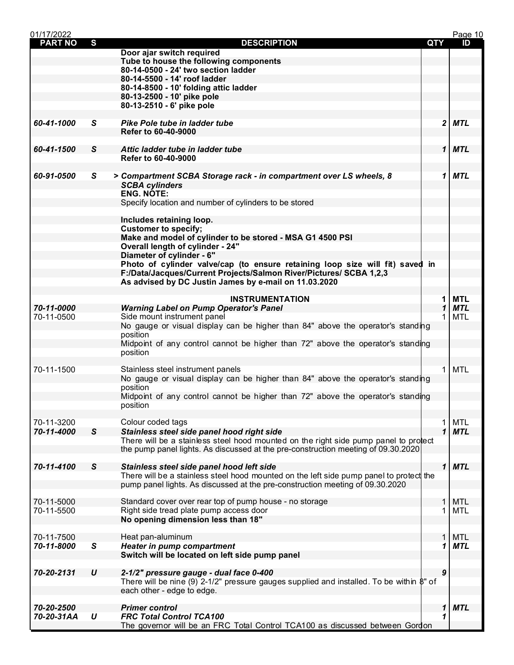| 01/17/2022     |                  |                                                                                                                                                                           |            |                  | Page 10                  |
|----------------|------------------|---------------------------------------------------------------------------------------------------------------------------------------------------------------------------|------------|------------------|--------------------------|
| <b>PART NO</b> | S                | <b>DESCRIPTION</b>                                                                                                                                                        | <b>QTY</b> |                  | ID                       |
|                |                  | Door ajar switch required                                                                                                                                                 |            |                  |                          |
|                |                  | Tube to house the following components<br>80-14-0500 - 24' two section ladder                                                                                             |            |                  |                          |
|                |                  | 80-14-5500 - 14' roof ladder                                                                                                                                              |            |                  |                          |
|                |                  | 80-14-8500 - 10' folding attic ladder                                                                                                                                     |            |                  |                          |
|                |                  | 80-13-2500 - 10' pike pole                                                                                                                                                |            |                  |                          |
|                |                  | 80-13-2510 - 6' pike pole                                                                                                                                                 |            |                  |                          |
|                |                  |                                                                                                                                                                           |            |                  |                          |
| 60-41-1000     | S.               | Pike Pole tube in ladder tube                                                                                                                                             |            | $\mathbf{2}$     | <b>MTL</b>               |
|                |                  | Refer to 60-40-9000                                                                                                                                                       |            |                  |                          |
|                |                  |                                                                                                                                                                           |            |                  |                          |
| 60-41-1500     | $\mathsf{s}$     | Attic ladder tube in ladder tube<br>Refer to 60-40-9000                                                                                                                   |            | $\mathbf{1}$     | <b>MTL</b>               |
|                |                  |                                                                                                                                                                           |            |                  |                          |
| 60-91-0500     | S                | > Compartment SCBA Storage rack - in compartment over LS wheels, 8                                                                                                        |            | 1                | <b>MTL</b>               |
|                |                  | <b>SCBA cylinders</b>                                                                                                                                                     |            |                  |                          |
|                |                  | ENG. NÔTE:                                                                                                                                                                |            |                  |                          |
|                |                  | Specify location and number of cylinders to be stored                                                                                                                     |            |                  |                          |
|                |                  |                                                                                                                                                                           |            |                  |                          |
|                |                  | Includes retaining loop.                                                                                                                                                  |            |                  |                          |
|                |                  | <b>Customer to specify;</b><br>Make and model of cylinder to be stored - MSA G1 4500 PSI                                                                                  |            |                  |                          |
|                |                  | <b>Overall length of cylinder - 24"</b>                                                                                                                                   |            |                  |                          |
|                |                  | Diameter of cylinder - 6"                                                                                                                                                 |            |                  |                          |
|                |                  | Photo of cylinder valve/cap (to ensure retaining loop size will fit) saved in                                                                                             |            |                  |                          |
|                |                  | F:/Data/Jacques/Current Projects/Salmon River/Pictures/ SCBA 1,2,3                                                                                                        |            |                  |                          |
|                |                  | As advised by DC Justin James by e-mail on 11.03.2020                                                                                                                     |            |                  |                          |
|                |                  |                                                                                                                                                                           |            |                  |                          |
| 70-11-0000     |                  | <b>INSTRUMENTATION</b>                                                                                                                                                    |            | 1<br>1           | <b>MTL</b><br><b>MTL</b> |
| 70-11-0500     |                  | <b>Warning Label on Pump Operator's Panel</b><br>Side mount instrument panel                                                                                              |            |                  | <b>MTL</b>               |
|                |                  | No gauge or visual display can be higher than 84" above the operator's standing                                                                                           |            |                  |                          |
|                |                  | position                                                                                                                                                                  |            |                  |                          |
|                |                  | Midpoint of any control cannot be higher than 72" above the operator's standing                                                                                           |            |                  |                          |
|                |                  | position                                                                                                                                                                  |            |                  |                          |
|                |                  |                                                                                                                                                                           |            |                  |                          |
| 70-11-1500     |                  | Stainless steel instrument panels                                                                                                                                         |            | 1                | <b>MTL</b>               |
|                |                  | No gauge or visual display can be higher than 84" above the operator's standing<br>position                                                                               |            |                  |                          |
|                |                  | Midpoint of any control cannot be higher than 72" above the operator's standing                                                                                           |            |                  |                          |
|                |                  | position                                                                                                                                                                  |            |                  |                          |
|                |                  |                                                                                                                                                                           |            |                  |                          |
| 70-11-3200     |                  | Colour coded tags                                                                                                                                                         |            | 1                | MTL                      |
| 70-11-4000     | $\mathsf{s}$     | Stainless steel side panel hood right side                                                                                                                                |            | 1                | <b>MTL</b>               |
|                |                  | There will be a stainless steel hood mounted on the right side pump panel to protect<br>the pump panel lights. As discussed at the pre-construction meeting of 09.30.2020 |            |                  |                          |
|                |                  |                                                                                                                                                                           |            |                  |                          |
| 70-11-4100     | $\mathsf{s}$     | Stainless steel side panel hood left side                                                                                                                                 |            | $\mathbf{1}$     | <b>MTL</b>               |
|                |                  | There will be a stainless steel hood mounted on the left side pump panel to protect the                                                                                   |            |                  |                          |
|                |                  | pump panel lights. As discussed at the pre-construction meeting of 09.30.2020                                                                                             |            |                  |                          |
|                |                  |                                                                                                                                                                           |            |                  |                          |
| 70-11-5000     |                  | Standard cover over rear top of pump house - no storage                                                                                                                   |            | 1                | <b>MTL</b>               |
| 70-11-5500     |                  | Right side tread plate pump access door<br>No opening dimension less than 18"                                                                                             |            |                  | MTL                      |
|                |                  |                                                                                                                                                                           |            |                  |                          |
| 70-11-7500     |                  | Heat pan-aluminum                                                                                                                                                         |            | 1                | <b>MTL</b>               |
| 70-11-8000     | S                | <b>Heater in pump compartment</b>                                                                                                                                         |            | 1                | <b>MTL</b>               |
|                |                  | Switch will be located on left side pump panel                                                                                                                            |            |                  |                          |
|                |                  |                                                                                                                                                                           |            |                  |                          |
| 70-20-2131     | $\boldsymbol{U}$ | 2-1/2" pressure gauge - dual face 0-400                                                                                                                                   |            | $\boldsymbol{9}$ |                          |
|                |                  | There will be nine (9) 2-1/2" pressure gauges supplied and installed. To be within $\beta$ " of                                                                           |            |                  |                          |
|                |                  | each other - edge to edge.                                                                                                                                                |            |                  |                          |
| 70-20-2500     |                  | <b>Primer control</b>                                                                                                                                                     |            | 1                | <b>MTL</b>               |
| 70-20-31AA     | U                | <b>FRC Total Control TCA100</b>                                                                                                                                           |            | 1                |                          |
|                |                  | The governor will be an FRC Total Control TCA100 as discussed between Gordon                                                                                              |            |                  |                          |